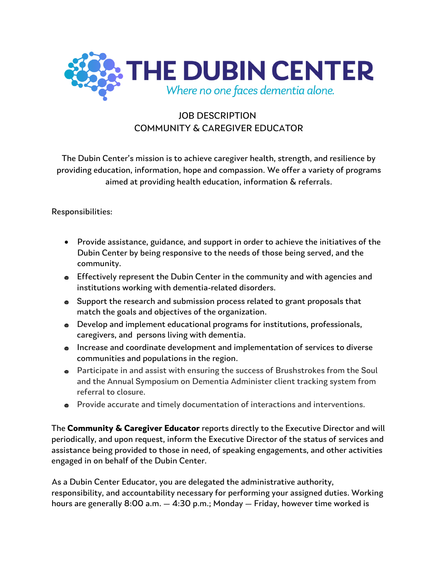

## JOB DESCRIPTION COMMUNITY & CAREGIVER EDUCATOR

The Dubin Center's mission is to achieve caregiver health, strength, and resilience by providing education, information, hope and compassion. We offer a variety of programs aimed at providing health education, information & referrals.

## Responsibilities:

- Provide assistance, guidance, and support in order to achieve the initiatives of the Dubin Center by being responsive to the needs of those being served, and the community.
- Effectively represent the Dubin Center in the community and with agencies and institutions working with dementia-related disorders.
- Support the research and submission process related to grant proposals that match the goals and objectives of the organization.
- Develop and implement educational programs for institutions, professionals, caregivers, and persons living with dementia.
- Increase and coordinate development and implementation of services to diverse communities and populations in the region.
- Participate in and assist with ensuring the success of Brushstrokes from the Soul and the Annual Symposium on Dementia Administer client tracking system from referral to closure.
- Provide accurate and timely documentation of interactions and interventions.

The **Community & Caregiver Educator** reports directly to the Executive Director and will periodically, and upon request, inform the Executive Director of the status of services and assistance being provided to those in need, of speaking engagements, and other activities engaged in on behalf of the Dubin Center.

As a Dubin Center Educator, you are delegated the administrative authority, responsibility, and accountability necessary for performing your assigned duties. Working hours are generally 8:00 a.m. — 4:30 p.m.; Monday — Friday, however time worked is